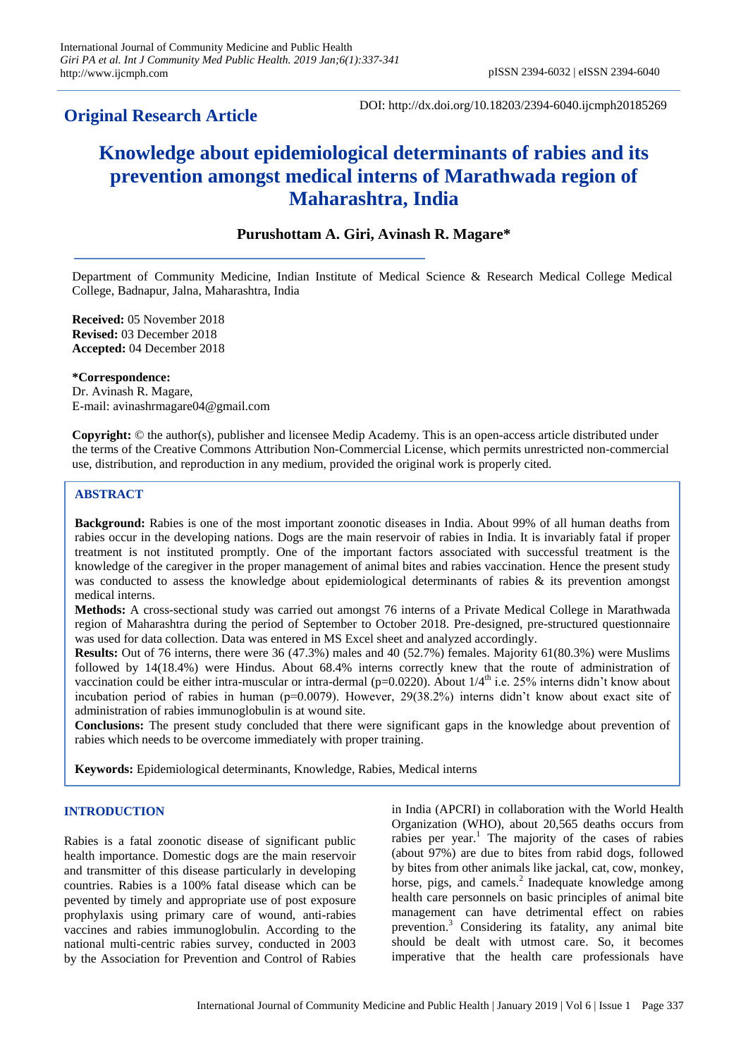# **Original Research Article**

DOI: http://dx.doi.org/10.18203/2394-6040.ijcmph20185269

# **Knowledge about epidemiological determinants of rabies and its prevention amongst medical interns of Marathwada region of Maharashtra, India**

# **Purushottam A. Giri, Avinash R. Magare\***

Department of Community Medicine, Indian Institute of Medical Science & Research Medical College Medical College, Badnapur, Jalna, Maharashtra, India

**Received:** 05 November 2018 **Revised:** 03 December 2018 **Accepted:** 04 December 2018

**\*Correspondence:** Dr. Avinash R. Magare, E-mail: avinashrmagare04@gmail.com

**Copyright:** © the author(s), publisher and licensee Medip Academy. This is an open-access article distributed under the terms of the Creative Commons Attribution Non-Commercial License, which permits unrestricted non-commercial use, distribution, and reproduction in any medium, provided the original work is properly cited.

## **ABSTRACT**

**Background:** Rabies is one of the most important zoonotic diseases in India. About 99% of all human deaths from rabies occur in the developing nations. Dogs are the main reservoir of rabies in India. It is invariably fatal if proper treatment is not instituted promptly. One of the important factors associated with successful treatment is the knowledge of the caregiver in the proper management of animal bites and rabies vaccination. Hence the present study was conducted to assess the knowledge about epidemiological determinants of rabies & its prevention amongst medical interns.

**Methods:** A cross-sectional study was carried out amongst 76 interns of a Private Medical College in Marathwada region of Maharashtra during the period of September to October 2018. Pre-designed, pre-structured questionnaire was used for data collection. Data was entered in MS Excel sheet and analyzed accordingly.

**Results:** Out of 76 interns, there were 36 (47.3%) males and 40 (52.7%) females. Majority 61(80.3%) were Muslims followed by 14(18.4%) were Hindus. About 68.4% interns correctly knew that the route of administration of vaccination could be either intra-muscular or intra-dermal (p=0.0220). About  $1/4^{\text{th}}$  i.e. 25% interns didn't know about incubation period of rabies in human (p=0.0079). However, 29(38.2%) interns didn't know about exact site of administration of rabies immunoglobulin is at wound site.

**Conclusions:** The present study concluded that there were significant gaps in the knowledge about prevention of rabies which needs to be overcome immediately with proper training.

**Keywords:** Epidemiological determinants, Knowledge, Rabies, Medical interns

#### **INTRODUCTION**

Rabies is a fatal zoonotic disease of significant public health importance. Domestic dogs are the main reservoir and transmitter of this disease particularly in developing countries. Rabies is a 100% fatal disease which can be pevented by timely and appropriate use of post exposure prophylaxis using primary care of wound, anti-rabies vaccines and rabies immunoglobulin. According to the national multi-centric rabies survey, conducted in 2003 by the Association for Prevention and Control of Rabies

in India (APCRI) in collaboration with the World Health Organization (WHO), about 20,565 deaths occurs from rabies per year.<sup>1</sup> The majority of the cases of rabies (about 97%) are due to bites from rabid dogs, followed by bites from other animals like jackal, cat, cow, monkey, horse, pigs, and camels.<sup>2</sup> Inadequate knowledge among health care personnels on basic principles of animal bite management can have detrimental effect on rabies prevention.<sup>3</sup> Considering its fatality, any animal bite should be dealt with utmost care. So, it becomes imperative that the health care professionals have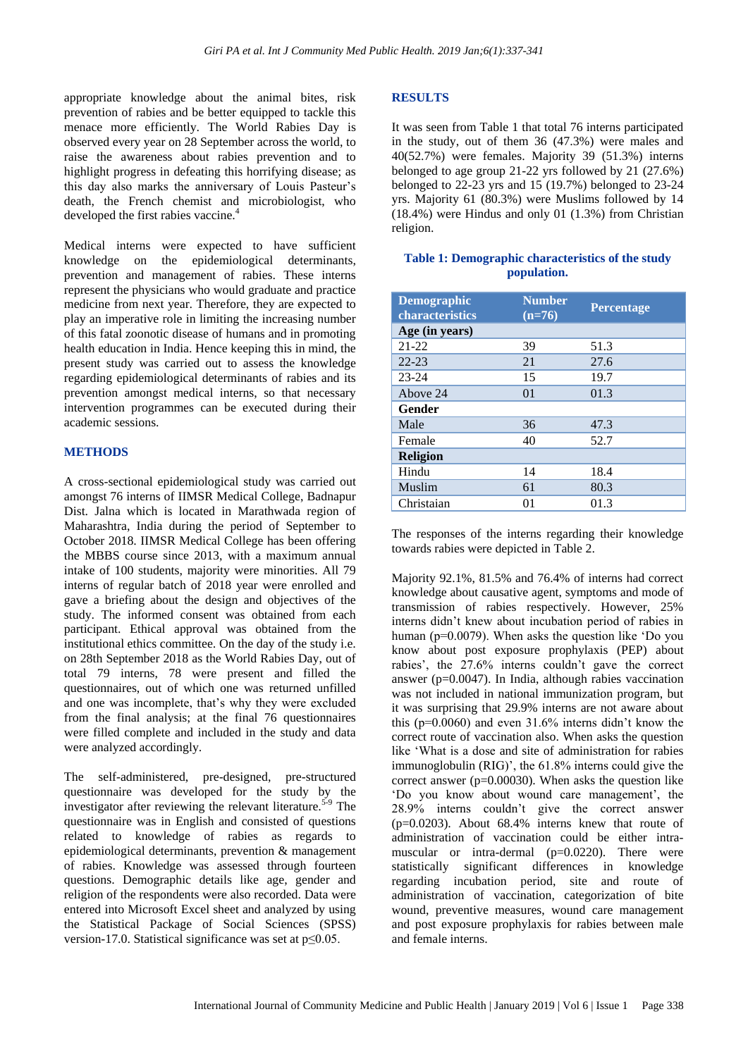appropriate knowledge about the animal bites, risk prevention of rabies and be better equipped to tackle this menace more efficiently. The World Rabies Day is observed every year on 28 September across the world, to raise the awareness about rabies prevention and to highlight progress in defeating this horrifying disease; as this day also marks the anniversary of Louis Pasteur's death, the French chemist and microbiologist, who developed the first rabies vaccine.<sup>4</sup>

Medical interns were expected to have sufficient knowledge on the epidemiological determinants, prevention and management of rabies. These interns represent the physicians who would graduate and practice medicine from next year. Therefore, they are expected to play an imperative role in limiting the increasing number of this fatal zoonotic disease of humans and in promoting health education in India. Hence keeping this in mind, the present study was carried out to assess the knowledge regarding epidemiological determinants of rabies and its prevention amongst medical interns, so that necessary intervention programmes can be executed during their academic sessions.

#### **METHODS**

A cross-sectional epidemiological study was carried out amongst 76 interns of IIMSR Medical College, Badnapur Dist. Jalna which is located in Marathwada region of Maharashtra, India during the period of September to October 2018. IIMSR Medical College has been offering the MBBS course since 2013, with a maximum annual intake of 100 students, majority were minorities. All 79 interns of regular batch of 2018 year were enrolled and gave a briefing about the design and objectives of the study. The informed consent was obtained from each participant. Ethical approval was obtained from the institutional ethics committee. On the day of the study i.e. on 28th September 2018 as the World Rabies Day, out of total 79 interns, 78 were present and filled the questionnaires, out of which one was returned unfilled and one was incomplete, that's why they were excluded from the final analysis; at the final 76 questionnaires were filled complete and included in the study and data were analyzed accordingly.

The self-administered, pre-designed, pre-structured questionnaire was developed for the study by the investigator after reviewing the relevant literature.<sup>5-9</sup> The questionnaire was in English and consisted of questions related to knowledge of rabies as regards to epidemiological determinants, prevention & management of rabies. Knowledge was assessed through fourteen questions. Demographic details like age, gender and religion of the respondents were also recorded. Data were entered into Microsoft Excel sheet and analyzed by using the Statistical Package of Social Sciences (SPSS) version-17.0. Statistical significance was set at p≤0.05.

## **RESULTS**

It was seen from Table 1 that total 76 interns participated in the study, out of them 36 (47.3%) were males and 40(52.7%) were females. Majority 39 (51.3%) interns belonged to age group 21-22 yrs followed by 21 (27.6%) belonged to 22-23 yrs and 15 (19.7%) belonged to 23-24 yrs. Majority 61 (80.3%) were Muslims followed by 14 (18.4%) were Hindus and only 01 (1.3%) from Christian religion.

#### **Table 1: Demographic characteristics of the study population.**

| <b>Demographic</b><br>characteristics | <b>Number</b><br>$(n=76)$ | <b>Percentage</b> |
|---------------------------------------|---------------------------|-------------------|
| Age (in years)                        |                           |                   |
| 21-22                                 | 39                        | 51.3              |
| $22 - 23$                             | 21                        | 27.6              |
| $23 - 24$                             | 15                        | 19.7              |
| Above 24                              | 01                        | 01.3              |
| Gender                                |                           |                   |
| Male                                  | 36                        | 47.3              |
| Female                                | 40                        | 52.7              |
| <b>Religion</b>                       |                           |                   |
| Hindu                                 | 14                        | 18.4              |
| Muslim                                | 61                        | 80.3              |
| Christaian                            | 01                        | 01.3              |

The responses of the interns regarding their knowledge towards rabies were depicted in Table 2.

Majority 92.1%, 81.5% and 76.4% of interns had correct knowledge about causative agent, symptoms and mode of transmission of rabies respectively. However, 25% interns didn't knew about incubation period of rabies in human (p=0.0079). When asks the question like 'Do you know about post exposure prophylaxis (PEP) about rabies', the 27.6% interns couldn't gave the correct answer (p=0.0047). In India, although rabies vaccination was not included in national immunization program, but it was surprising that 29.9% interns are not aware about this (p=0.0060) and even 31.6% interns didn't know the correct route of vaccination also. When asks the question like 'What is a dose and site of administration for rabies immunoglobulin (RIG)', the 61.8% interns could give the correct answer ( $p=0.00030$ ). When asks the question like 'Do you know about wound care management', the 28.9% interns couldn't give the correct answer  $(p=0.0203)$ . About 68.4% interns knew that route of administration of vaccination could be either intramuscular or intra-dermal (p=0.0220). There were statistically significant differences in knowledge regarding incubation period, site and route of administration of vaccination, categorization of bite wound, preventive measures, wound care management and post exposure prophylaxis for rabies between male and female interns.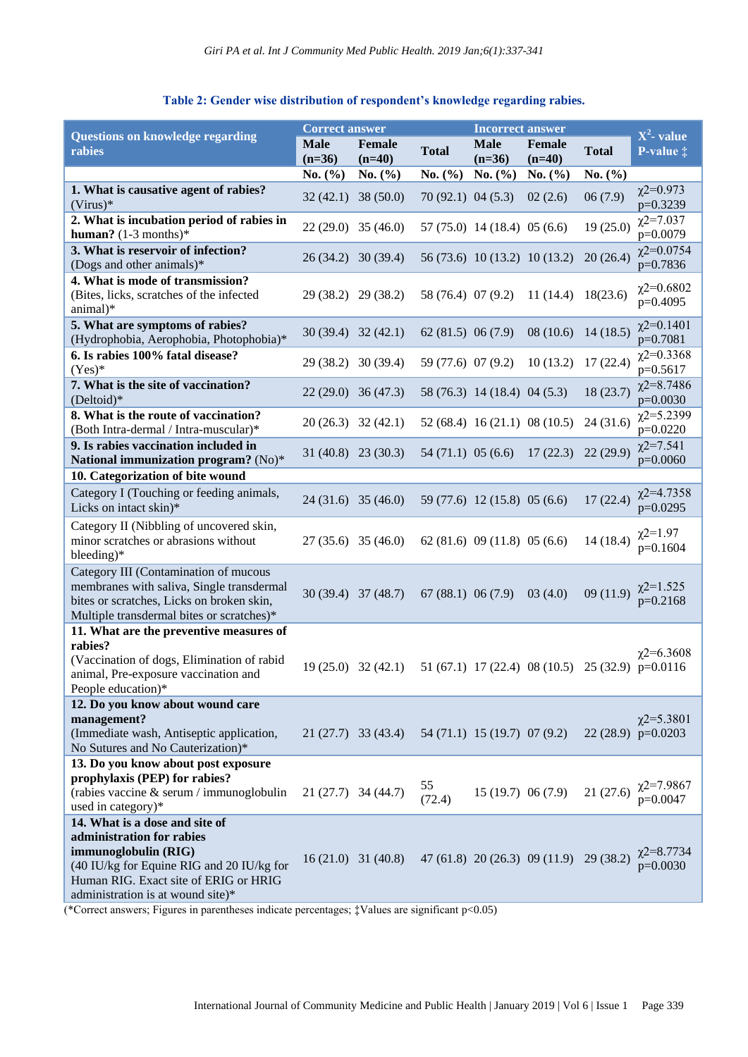# **Table 2: Gender wise distribution of respondent's knowledge regarding rabies.**

|                                                                                                                                                                              | <b>Correct answer</b>   |                       |                     | <b>Incorrect answer</b>       |                                                  |              |                                          |
|------------------------------------------------------------------------------------------------------------------------------------------------------------------------------|-------------------------|-----------------------|---------------------|-------------------------------|--------------------------------------------------|--------------|------------------------------------------|
| <b>Questions on knowledge regarding</b><br>rabies                                                                                                                            | <b>Male</b><br>$(n=36)$ | Female<br>$(n=40)$    | <b>Total</b>        | <b>Male</b><br>$(n=36)$       | Female<br>$(n=40)$                               | <b>Total</b> | $X^2$ - value<br>P-value $\ddagger$      |
|                                                                                                                                                                              | No. $(\% )$             | No. $(\% )$           | No. $(\% )$         | No. $(\% )$                   | No. $(\% )$                                      | No. $(\% )$  |                                          |
| 1. What is causative agent of rabies?<br>$(Virus)*$                                                                                                                          | 32(42.1)                | 38(50.0)              | 70(92.1) 04(5.3)    |                               | 02(2.6)                                          | 06(7.9)      | $\chi$ 2=0.973<br>p=0.3239               |
| 2. What is incubation period of rabies in<br>human? $(1-3$ months)*                                                                                                          |                         | $22(29.0)$ 35 (46.0)  |                     | 57 (75.0) 14 (18.4) 05 (6.6)  |                                                  | 19(25.0)     | $\chi$ 2=7.037<br>p=0.0079               |
| 3. What is reservoir of infection?<br>(Dogs and other animals)*                                                                                                              |                         | 26 (34.2) 30 (39.4)   |                     | 56 (73.6) 10 (13.2) 10 (13.2) |                                                  | 20(26.4)     | $\chi$ 2=0.0754<br>p=0.7836              |
| 4. What is mode of transmission?<br>(Bites, licks, scratches of the infected<br>animal)*                                                                                     |                         | 29 (38.2) 29 (38.2)   | 58 (76.4) 07 (9.2)  |                               | 11(14.4)                                         | 18(23.6)     | $\chi$ 2=0.6802<br>$p=0.4095$            |
| 5. What are symptoms of rabies?<br>(Hydrophobia, Aerophobia, Photophobia)*                                                                                                   |                         | $30(39.4)$ $32(42.1)$ | 62(81.5) 06(7.9)    |                               | 08(10.6)                                         | 14(18.5)     | $\chi$ 2=0.1401<br>p=0.7081              |
| 6. Is rabies 100% fatal disease?<br>$(Yes)*$                                                                                                                                 |                         | 29 (38.2) 30 (39.4)   | 59 (77.6) 07 (9.2)  |                               | 10(13.2)                                         | 17(22.4)     | $\chi$ 2=0.3368<br>p=0.5617              |
| 7. What is the site of vaccination?<br>(Deltoid)*                                                                                                                            |                         | $22(29.0)$ 36 (47.3)  |                     | 58 (76.3) 14 (18.4) 04 (5.3)  |                                                  | 18(23.7)     | $\chi$ 2=8.7486<br>$p=0.0030$            |
| 8. What is the route of vaccination?<br>(Both Intra-dermal / Intra-muscular)*                                                                                                |                         | $20(26.3)$ 32 (42.1)  |                     | 52 (68.4) 16 (21.1) 08 (10.5) |                                                  | 24(31.6)     | $\chi$ 2=5.2399<br>$p=0.0220$            |
| 9. Is rabies vaccination included in<br>National immunization program? (No)*                                                                                                 |                         | $31(40.8)$ 23 (30.3)  | $54(71.1)$ 05 (6.6) |                               | 17(22.3)                                         | 22(29.9)     | $x^{2=7.541}$<br>$p=0.0060$              |
| 10. Categorization of bite wound                                                                                                                                             |                         |                       |                     |                               |                                                  |              |                                          |
| Category I (Touching or feeding animals,<br>Licks on intact skin)*                                                                                                           |                         | $24(31.6)$ 35 (46.0)  |                     | 59 (77.6) 12 (15.8) 05 (6.6)  |                                                  | 17(22.4)     | $\chi$ 2=4.7358<br>$p=0.0295$            |
| Category II (Nibbling of uncovered skin,<br>minor scratches or abrasions without<br>bleeding)*                                                                               |                         | $27(35.6)$ 35 (46.0)  |                     | 62(81.6) 09(11.8) 05(6.6)     |                                                  | 14(18.4)     | $x^{2=1.97}$<br>$p=0.1604$               |
| Category III (Contamination of mucous<br>membranes with saliva, Single transdermal<br>bites or scratches, Licks on broken skin,<br>Multiple transdermal bites or scratches)* |                         | 30 (39.4) 37 (48.7)   | $67(88.1)$ 06 (7.9) |                               | 03(4.0)                                          | 09(11.9)     | $\chi$ <sup>2=1.525</sup><br>$p=0.2168$  |
| 11. What are the preventive measures of                                                                                                                                      |                         |                       |                     |                               |                                                  |              |                                          |
| rabies?<br>(Vaccination of dogs, Elimination of rabid<br>animal, Pre-exposure vaccination and<br>People education)*                                                          |                         | $19(25.0)$ 32(42.1)   |                     |                               | 51 (67.1) 17 (22.4) 08 (10.5) 25 (32.9) p=0.0116 |              | $\chi$ 2=6.3608                          |
| 12. Do you know about wound care                                                                                                                                             |                         |                       |                     |                               |                                                  |              |                                          |
| management?<br>(Immediate wash, Antiseptic application,<br>No Sutures and No Cauterization)*                                                                                 |                         | $21(27.7)$ 33 (43.4)  |                     | 54 (71.1) 15 (19.7) 07 (9.2)  |                                                  |              | $\chi$ 2=5.3801<br>22 $(28.9)$ p=0.0203  |
| 13. Do you know about post exposure                                                                                                                                          |                         |                       |                     |                               |                                                  |              |                                          |
| prophylaxis (PEP) for rabies?<br>(rabies vaccine & serum / immunoglobulin<br>used in category)*                                                                              | $21(27.7)$ 34 (44.7)    |                       | 55<br>(72.4)        |                               | 15(19.7) 06(7.9)                                 |              | 21 (27.6) $\chi^{2=7.9867}_{p=0.0047}$   |
| 14. What is a dose and site of                                                                                                                                               |                         |                       |                     |                               |                                                  |              |                                          |
| administration for rabies<br>immunoglobulin (RIG)<br>(40 IU/kg for Equine RIG and 20 IU/kg for<br>Human RIG. Exact site of ERIG or HRIG<br>administration is at wound site)* |                         | $16(21.0)$ 31 (40.8)  |                     |                               | 47 (61.8) 20 (26.3) 09 (11.9) 29 (38.2)          |              | $\chi$ <sup>2=8.7734</sup><br>$p=0.0030$ |

(\*Correct answers; Figures in parentheses indicate percentages; ‡Values are significant p<0.05)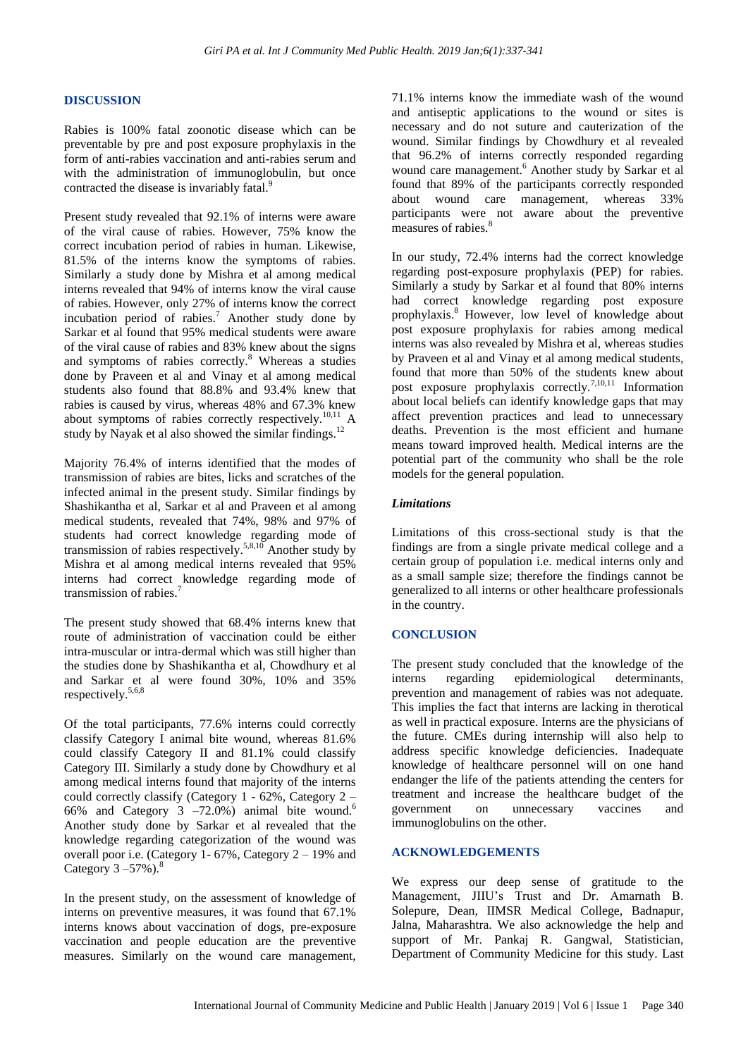#### **DISCUSSION**

Rabies is 100% fatal zoonotic disease which can be preventable by pre and post exposure prophylaxis in the form of anti-rabies vaccination and anti-rabies serum and with the administration of immunoglobulin, but once contracted the disease is invariably fatal.<sup>9</sup>

Present study revealed that 92.1% of interns were aware of the viral cause of rabies. However, 75% know the correct incubation period of rabies in human. Likewise, 81.5% of the interns know the symptoms of rabies. Similarly a study done by Mishra et al among medical interns revealed that 94% of interns know the viral cause of rabies. However, only 27% of interns know the correct incubation period of rabies.<sup>7</sup> Another study done by Sarkar et al found that 95% medical students were aware of the viral cause of rabies and 83% knew about the signs and symptoms of rabies correctly.<sup>8</sup> Whereas a studies done by Praveen et al and Vinay et al among medical students also found that 88.8% and 93.4% knew that rabies is caused by virus, whereas 48% and 67.3% knew about symptoms of rabies correctly respectively.<sup>10,11</sup> A study by Nayak et al also showed the similar findings.<sup>12</sup>

Majority 76.4% of interns identified that the modes of transmission of rabies are bites, licks and scratches of the infected animal in the present study. Similar findings by Shashikantha et al, Sarkar et al and Praveen et al among medical students, revealed that 74%, 98% and 97% of students had correct knowledge regarding mode of transmission of rabies respectively.<sup>5,8,10</sup> Another study by Mishra et al among medical interns revealed that 95% interns had correct knowledge regarding mode of transmission of rabies.

The present study showed that 68.4% interns knew that route of administration of vaccination could be either intra-muscular or intra-dermal which was still higher than the studies done by Shashikantha et al, Chowdhury et al and Sarkar et al were found 30%, 10% and 35% respectively.5,6,8

Of the total participants, 77.6% interns could correctly classify Category I animal bite wound, whereas 81.6% could classify Category II and 81.1% could classify Category III. Similarly a study done by Chowdhury et al among medical interns found that majority of the interns could correctly classify (Category 1 - 62%, Category 2 – 66% and Category  $3 -72.0\%$ ) animal bite wound.<sup>6</sup> Another study done by Sarkar et al revealed that the knowledge regarding categorization of the wound was overall poor i.e. (Category 1- 67%, Category 2 – 19% and Category  $3 - 57\%$ ).<sup>8</sup>

In the present study, on the assessment of knowledge of interns on preventive measures, it was found that 67.1% interns knows about vaccination of dogs, pre-exposure vaccination and people education are the preventive measures. Similarly on the wound care management, 71.1% interns know the immediate wash of the wound and antiseptic applications to the wound or sites is necessary and do not suture and cauterization of the wound. Similar findings by Chowdhury et al revealed that 96.2% of interns correctly responded regarding wound care management.<sup>6</sup> Another study by Sarkar et al found that 89% of the participants correctly responded about wound care management, whereas 33% participants were not aware about the preventive measures of rabies.<sup>8</sup>

In our study, 72.4% interns had the correct knowledge regarding post-exposure prophylaxis (PEP) for rabies. Similarly a study by Sarkar et al found that 80% interns had correct knowledge regarding post exposure prophylaxis.<sup>8</sup> However, low level of knowledge about post exposure prophylaxis for rabies among medical interns was also revealed by Mishra et al, whereas studies by Praveen et al and Vinay et al among medical students, found that more than 50% of the students knew about post exposure prophylaxis correctly.<sup>7,10,11</sup> Information about local beliefs can identify knowledge gaps that may affect prevention practices and lead to unnecessary deaths. Prevention is the most efficient and humane means toward improved health. Medical interns are the potential part of the community who shall be the role models for the general population.

#### *Limitations*

Limitations of this cross-sectional study is that the findings are from a single private medical college and a certain group of population i.e. medical interns only and as a small sample size; therefore the findings cannot be generalized to all interns or other healthcare professionals in the country.

#### **CONCLUSION**

The present study concluded that the knowledge of the interns regarding epidemiological determinants, prevention and management of rabies was not adequate. This implies the fact that interns are lacking in therotical as well in practical exposure. Interns are the physicians of the future. CMEs during internship will also help to address specific knowledge deficiencies. Inadequate knowledge of healthcare personnel will on one hand endanger the life of the patients attending the centers for treatment and increase the healthcare budget of the government on unnecessary vaccines and immunoglobulins on the other.

#### **ACKNOWLEDGEMENTS**

We express our deep sense of gratitude to the Management, JIIU's Trust and Dr. Amarnath B. Solepure, Dean, IIMSR Medical College, Badnapur, Jalna, Maharashtra. We also acknowledge the help and support of Mr. Pankaj R. Gangwal, Statistician, Department of Community Medicine for this study. Last